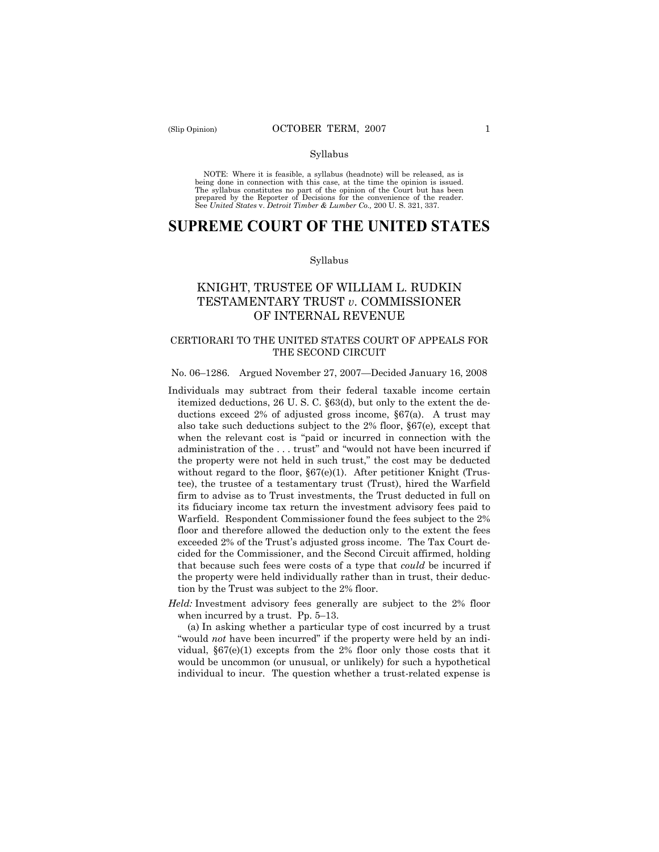#### Syllabus

NOTE: Where it is feasible, a syllabus (headnote) will be released, as is being done in connection with this case, at the time the opinion is issued. The syllabus constitutes no part of the opinion of the Court but has been<br>prepared by the Reporter of Decisions for the convenience of the reader.<br>See United States v. Detroit Timber & Lumber Co., 200 U. S. 321, 337.

# **SUPREME COURT OF THE UNITED STATES**

#### Syllabus

# KNIGHT, TRUSTEE OF WILLIAM L. RUDKIN TESTAMENTARY TRUST *v*. COMMISSIONER OF INTERNAL REVENUE

# CERTIORARI TO THE UNITED STATES COURT OF APPEALS FOR THE SECOND CIRCUIT

#### No. 06–1286. Argued November 27, 2007—Decided January 16, 2008

- Individuals may subtract from their federal taxable income certain itemized deductions, 26 U. S. C. §63(d), but only to the extent the deductions exceed 2% of adjusted gross income, §67(a). A trust may also take such deductions subject to the 2% floor, §67(e)*,* except that when the relevant cost is "paid or incurred in connection with the administration of the . . . trust" and "would not have been incurred if the property were not held in such trust," the cost may be deducted without regard to the floor, §67(e)(1). After petitioner Knight (Trustee), the trustee of a testamentary trust (Trust), hired the Warfield firm to advise as to Trust investments, the Trust deducted in full on its fiduciary income tax return the investment advisory fees paid to Warfield. Respondent Commissioner found the fees subject to the 2% floor and therefore allowed the deduction only to the extent the fees exceeded 2% of the Trust's adjusted gross income. The Tax Court decided for the Commissioner, and the Second Circuit affirmed, holding that because such fees were costs of a type that *could* be incurred if the property were held individually rather than in trust, their deduction by the Trust was subject to the 2% floor.
- *Held:* Investment advisory fees generally are subject to the 2% floor when incurred by a trust. Pp. 5–13.

(a) In asking whether a particular type of cost incurred by a trust "would *not* have been incurred" if the property were held by an individual,  $\S67(e)(1)$  excepts from the 2% floor only those costs that it would be uncommon (or unusual, or unlikely) for such a hypothetical individual to incur. The question whether a trust-related expense is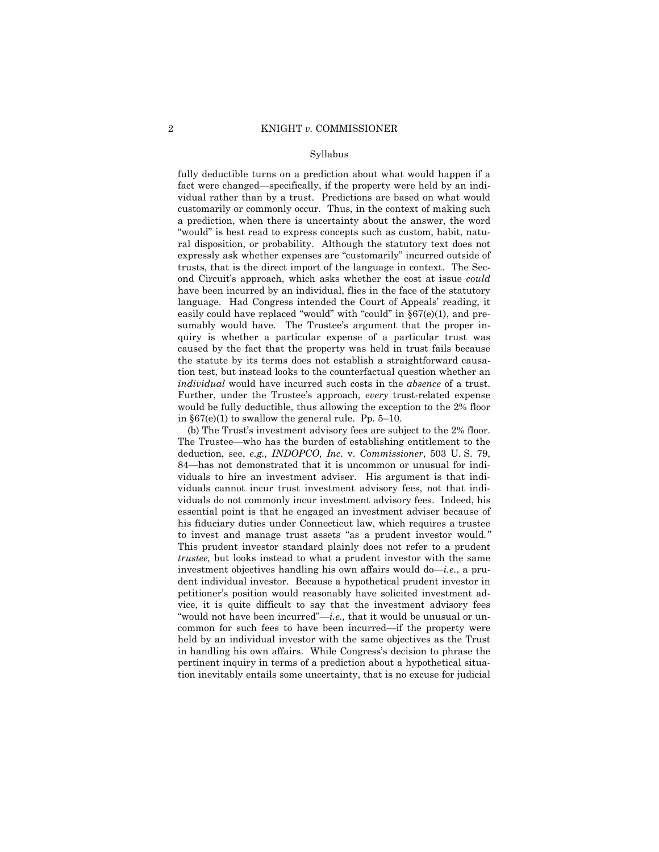#### Syllabus

fully deductible turns on a prediction about what would happen if a fact were changed—specifically, if the property were held by an individual rather than by a trust. Predictions are based on what would customarily or commonly occur. Thus, in the context of making such a prediction, when there is uncertainty about the answer, the word "would" is best read to express concepts such as custom, habit, natural disposition, or probability. Although the statutory text does not expressly ask whether expenses are "customarily" incurred outside of trusts, that is the direct import of the language in context. The Second Circuit's approach, which asks whether the cost at issue *could*  have been incurred by an individual, flies in the face of the statutory language. Had Congress intended the Court of Appeals' reading, it easily could have replaced "would" with "could" in  $\S67(e)(1)$ , and presumably would have. The Trustee's argument that the proper inquiry is whether a particular expense of a particular trust was caused by the fact that the property was held in trust fails because the statute by its terms does not establish a straightforward causation test, but instead looks to the counterfactual question whether an *individual* would have incurred such costs in the *absence* of a trust. Further, under the Trustee's approach, *every* trust-related expense would be fully deductible, thus allowing the exception to the 2% floor in §67(e)(1) to swallow the general rule. Pp. 5–10.

(b) The Trust's investment advisory fees are subject to the 2% floor. The Trustee—who has the burden of establishing entitlement to the deduction, see, *e.g., INDOPCO, Inc.* v. *Commissioner*, 503 U. S. 79, 84—has not demonstrated that it is uncommon or unusual for individuals to hire an investment adviser. His argument is that individuals cannot incur trust investment advisory fees, not that individuals do not commonly incur investment advisory fees. Indeed, his essential point is that he engaged an investment adviser because of his fiduciary duties under Connecticut law, which requires a trustee to invest and manage trust assets "as a prudent investor would*."*  This prudent investor standard plainly does not refer to a prudent *trustee,* but looks instead to what a prudent investor with the same investment objectives handling his own affairs would do—*i.e.*, a prudent individual investor. Because a hypothetical prudent investor in petitioner's position would reasonably have solicited investment advice, it is quite difficult to say that the investment advisory fees "would not have been incurred"—*i.e.,* that it would be unusual or uncommon for such fees to have been incurred—if the property were held by an individual investor with the same objectives as the Trust in handling his own affairs. While Congress's decision to phrase the pertinent inquiry in terms of a prediction about a hypothetical situation inevitably entails some uncertainty, that is no excuse for judicial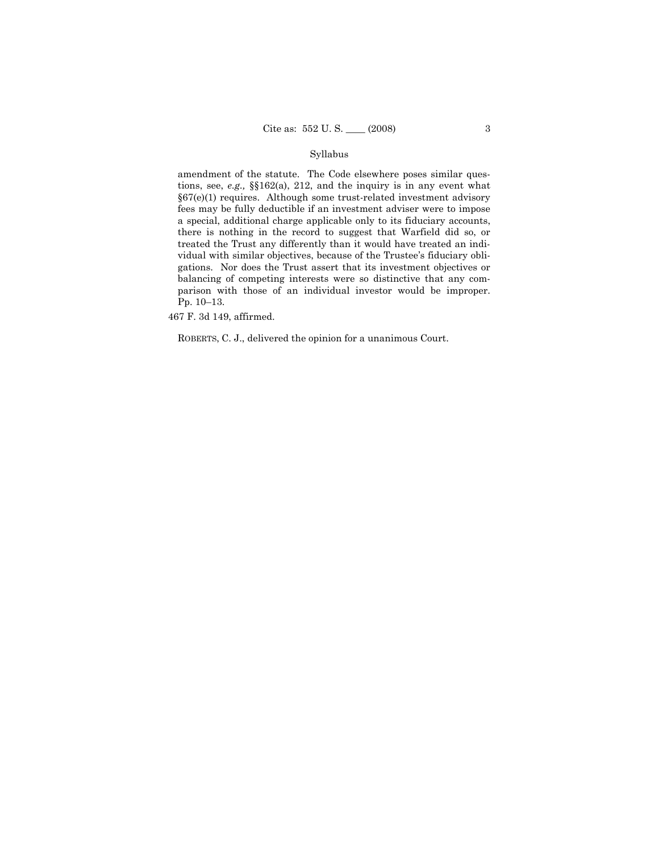# Syllabus

amendment of the statute. The Code elsewhere poses similar questions, see, *e.g.,* §§162(a), 212, and the inquiry is in any event what §67(e)(1) requires. Although some trust-related investment advisory fees may be fully deductible if an investment adviser were to impose a special, additional charge applicable only to its fiduciary accounts, there is nothing in the record to suggest that Warfield did so, or treated the Trust any differently than it would have treated an individual with similar objectives, because of the Trustee's fiduciary obligations. Nor does the Trust assert that its investment objectives or balancing of competing interests were so distinctive that any comparison with those of an individual investor would be improper. Pp. 10–13.

467 F. 3d 149, affirmed.

ROBERTS, C. J., delivered the opinion for a unanimous Court.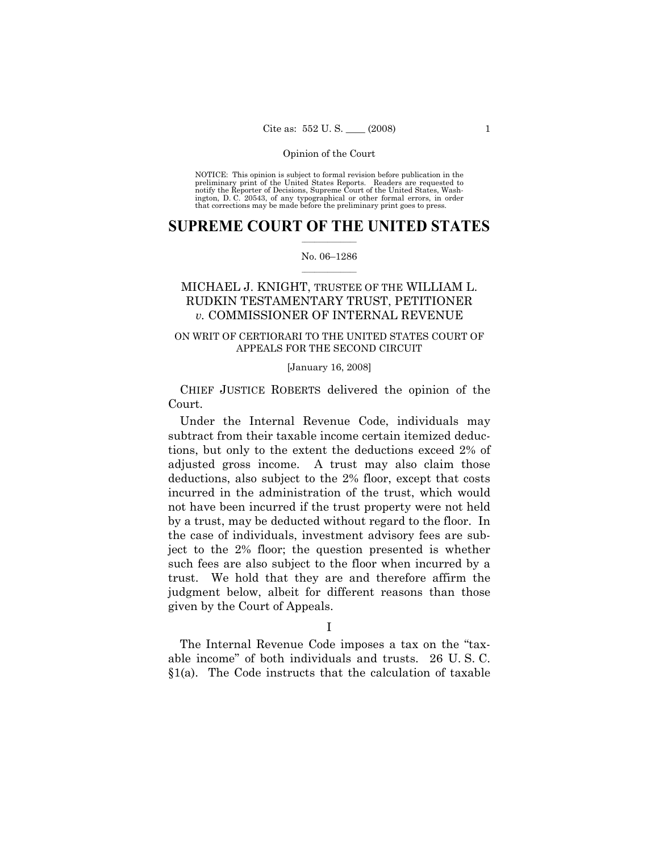NOTICE: This opinion is subject to formal revision before publication in the preliminary print of the United States Reports. Readers are requested to notify the Reporter of Decisions, Supreme Court of the United States, Washington, D. C. 20543, of any typographical or other formal errors, in order that corrections may be made before the preliminary print goes to press.

# $\frac{1}{2}$  ,  $\frac{1}{2}$  ,  $\frac{1}{2}$  ,  $\frac{1}{2}$  ,  $\frac{1}{2}$  ,  $\frac{1}{2}$  ,  $\frac{1}{2}$ **SUPREME COURT OF THE UNITED STATES**

# $\frac{1}{2}$  ,  $\frac{1}{2}$  ,  $\frac{1}{2}$  ,  $\frac{1}{2}$  ,  $\frac{1}{2}$  ,  $\frac{1}{2}$ No. 06–1286

# MICHAEL J. KNIGHT, TRUSTEE OF THE WILLIAM L. RUDKIN TESTAMENTARY TRUST, PETITIONER *v.* COMMISSIONER OF INTERNAL REVENUE

# ON WRIT OF CERTIORARI TO THE UNITED STATES COURT OF APPEALS FOR THE SECOND CIRCUIT

# [January 16, 2008]

CHIEF JUSTICE ROBERTS delivered the opinion of the Court.

Under the Internal Revenue Code, individuals may subtract from their taxable income certain itemized deductions, but only to the extent the deductions exceed 2% of adjusted gross income. A trust may also claim those deductions, also subject to the 2% floor, except that costs incurred in the administration of the trust, which would not have been incurred if the trust property were not held by a trust, may be deducted without regard to the floor. In the case of individuals, investment advisory fees are subject to the 2% floor; the question presented is whether such fees are also subject to the floor when incurred by a trust. We hold that they are and therefore affirm the judgment below, albeit for different reasons than those given by the Court of Appeals.

The Internal Revenue Code imposes a tax on the "taxable income" of both individuals and trusts. 26 U. S. C. §1(a). The Code instructs that the calculation of taxable

I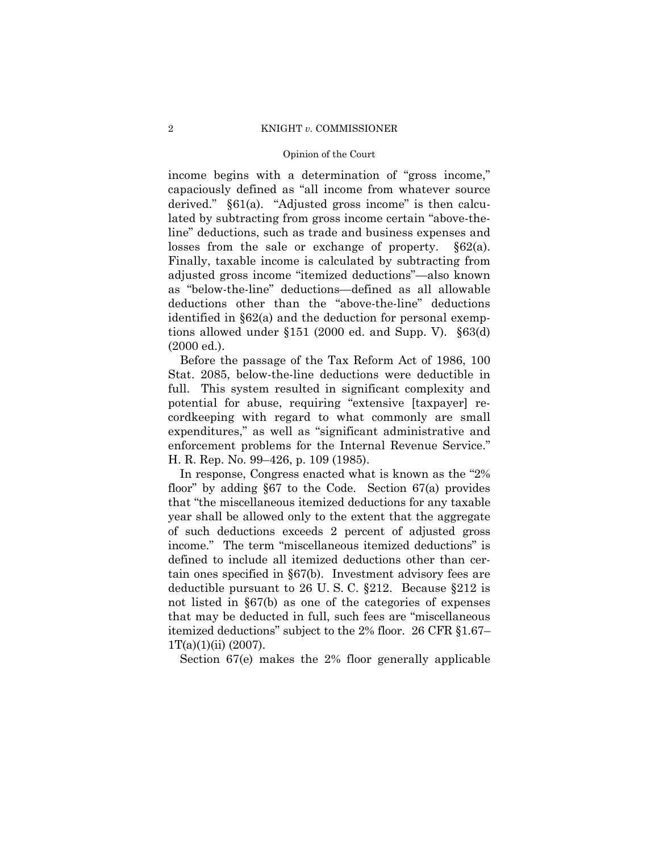# 2 KNIGHT *v.* COMMISSIONER

# Opinion of the Court

income begins with a determination of "gross income," capaciously defined as "all income from whatever source derived." §61(a). "Adjusted gross income" is then calculated by subtracting from gross income certain "above-theline" deductions, such as trade and business expenses and losses from the sale or exchange of property. §62(a). Finally, taxable income is calculated by subtracting from adjusted gross income "itemized deductions"—also known as "below-the-line" deductions—defined as all allowable deductions other than the "above-the-line" deductions identified in §62(a) and the deduction for personal exemptions allowed under §151 (2000 ed. and Supp. V). §63(d) (2000 ed.).

Before the passage of the Tax Reform Act of 1986, 100 Stat. 2085, below-the-line deductions were deductible in full. This system resulted in significant complexity and potential for abuse, requiring "extensive [taxpayer] recordkeeping with regard to what commonly are small expenditures," as well as "significant administrative and enforcement problems for the Internal Revenue Service." H. R. Rep. No. 99–426, p. 109 (1985).

In response, Congress enacted what is known as the "2% floor" by adding §67 to the Code. Section 67(a) provides that "the miscellaneous itemized deductions for any taxable year shall be allowed only to the extent that the aggregate of such deductions exceeds 2 percent of adjusted gross income." The term "miscellaneous itemized deductions" is defined to include all itemized deductions other than certain ones specified in §67(b). Investment advisory fees are deductible pursuant to 26 U. S. C. §212. Because §212 is not listed in §67(b) as one of the categories of expenses that may be deducted in full, such fees are "miscellaneous itemized deductions" subject to the 2% floor. 26 CFR §1.67–  $1T(a)(1)(ii)$  (2007).

Section 67(e) makes the 2% floor generally applicable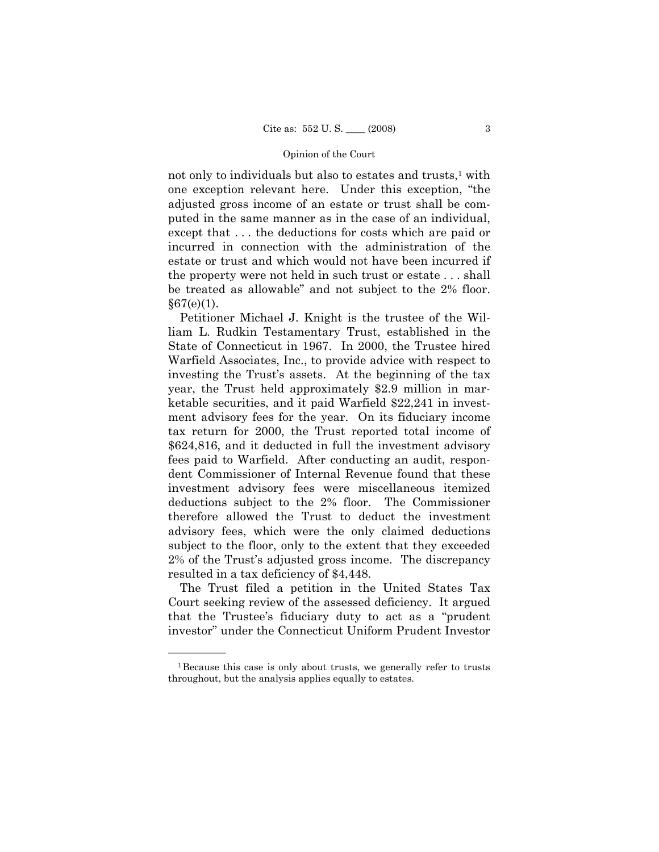not only to individuals but also to estates and trusts, $<sup>1</sup>$  with</sup> one exception relevant here. Under this exception, "the adjusted gross income of an estate or trust shall be computed in the same manner as in the case of an individual, except that . . . the deductions for costs which are paid or incurred in connection with the administration of the estate or trust and which would not have been incurred if the property were not held in such trust or estate . . . shall be treated as allowable" and not subject to the 2% floor.  $§67(e)(1)$ .

Petitioner Michael J. Knight is the trustee of the William L. Rudkin Testamentary Trust, established in the State of Connecticut in 1967. In 2000, the Trustee hired Warfield Associates, Inc., to provide advice with respect to investing the Trust's assets. At the beginning of the tax year, the Trust held approximately \$2.9 million in marketable securities, and it paid Warfield \$22,241 in investment advisory fees for the year. On its fiduciary income tax return for 2000, the Trust reported total income of \$624,816, and it deducted in full the investment advisory fees paid to Warfield. After conducting an audit, respondent Commissioner of Internal Revenue found that these investment advisory fees were miscellaneous itemized deductions subject to the 2% floor. The Commissioner therefore allowed the Trust to deduct the investment advisory fees, which were the only claimed deductions subject to the floor, only to the extent that they exceeded 2% of the Trust's adjusted gross income. The discrepancy resulted in a tax deficiency of \$4,448.

The Trust filed a petition in the United States Tax Court seeking review of the assessed deficiency. It argued that the Trustee's fiduciary duty to act as a "prudent investor" under the Connecticut Uniform Prudent Investor

<sup>&</sup>lt;sup>1</sup>Because this case is only about trusts, we generally refer to trusts throughout, but the analysis applies equally to estates.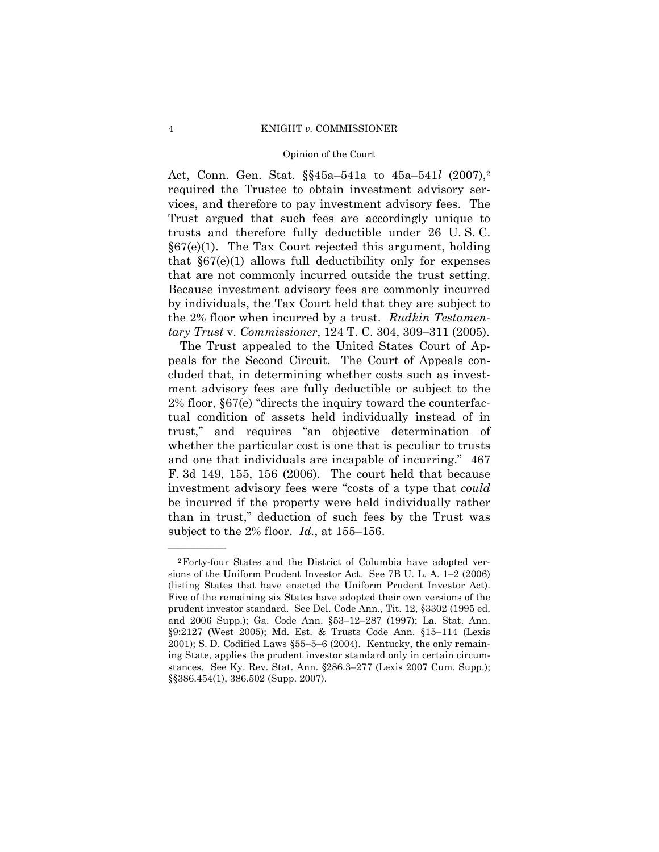# 4 KNIGHT *v.* COMMISSIONER

# Opinion of the Court

Act, Conn. Gen. Stat. §§45a–541a to 45a–541*l* (2007),2 required the Trustee to obtain investment advisory services, and therefore to pay investment advisory fees. The Trust argued that such fees are accordingly unique to trusts and therefore fully deductible under 26 U. S. C. §67(e)(1). The Tax Court rejected this argument, holding that §67(e)(1) allows full deductibility only for expenses that are not commonly incurred outside the trust setting. Because investment advisory fees are commonly incurred by individuals, the Tax Court held that they are subject to the 2% floor when incurred by a trust. *Rudkin Testamentary Trust* v. *Commissioner*, 124 T. C. 304, 309–311 (2005).

The Trust appealed to the United States Court of Appeals for the Second Circuit. The Court of Appeals concluded that, in determining whether costs such as investment advisory fees are fully deductible or subject to the 2% floor, §67(e) "directs the inquiry toward the counterfactual condition of assets held individually instead of in trust," and requires "an objective determination of whether the particular cost is one that is peculiar to trusts and one that individuals are incapable of incurring." 467 F. 3d 149, 155, 156 (2006). The court held that because investment advisory fees were "costs of a type that *could*  be incurred if the property were held individually rather than in trust," deduction of such fees by the Trust was subject to the 2% floor. *Id.*, at 155–156.

<sup>2</sup>Forty-four States and the District of Columbia have adopted versions of the Uniform Prudent Investor Act. See 7B U. L. A. 1–2 (2006) (listing States that have enacted the Uniform Prudent Investor Act). Five of the remaining six States have adopted their own versions of the prudent investor standard. See Del. Code Ann., Tit. 12, §3302 (1995 ed. and 2006 Supp.); Ga. Code Ann. §53–12–287 (1997); La. Stat. Ann. §9:2127 (West 2005); Md. Est. & Trusts Code Ann. §15–114 (Lexis 2001); S. D. Codified Laws §55–5–6 (2004). Kentucky, the only remaining State, applies the prudent investor standard only in certain circumstances. See Ky. Rev. Stat. Ann. §286.3–277 (Lexis 2007 Cum. Supp.); §§386.454(1), 386.502 (Supp. 2007).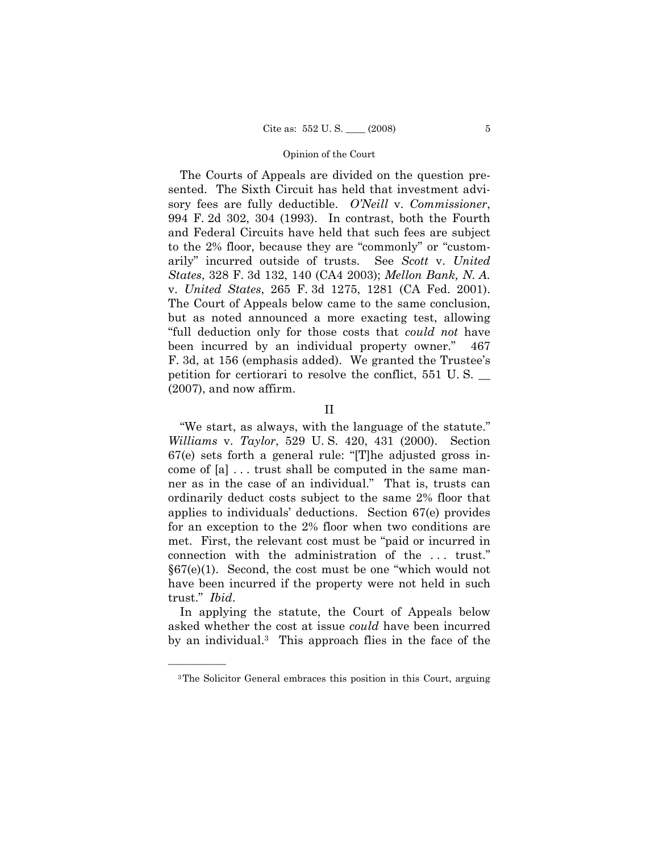The Courts of Appeals are divided on the question presented. The Sixth Circuit has held that investment advisory fees are fully deductible. *O'Neill* v. *Commissioner*, 994 F. 2d 302, 304 (1993). In contrast, both the Fourth and Federal Circuits have held that such fees are subject to the 2% floor, because they are "commonly" or "customarily" incurred outside of trusts. See *Scott* v. *United States*, 328 F. 3d 132, 140 (CA4 2003); *Mellon Bank, N. A.*  v. *United States*, 265 F. 3d 1275, 1281 (CA Fed. 2001). The Court of Appeals below came to the same conclusion, but as noted announced a more exacting test, allowing "full deduction only for those costs that *could not* have been incurred by an individual property owner." 467 F. 3d, at 156 (emphasis added). We granted the Trustee's petition for certiorari to resolve the conflict, 551 U. S. \_\_ (2007), and now affirm.

"We start, as always, with the language of the statute." *Williams* v. *Taylor*, 529 U. S. 420, 431 (2000). Section 67(e) sets forth a general rule: "[T]he adjusted gross income of [a] . . . trust shall be computed in the same manner as in the case of an individual." That is, trusts can ordinarily deduct costs subject to the same 2% floor that applies to individuals' deductions. Section 67(e) provides for an exception to the 2% floor when two conditions are met. First, the relevant cost must be "paid or incurred in connection with the administration of the . . . trust." §67(e)(1). Second, the cost must be one "which would not have been incurred if the property were not held in such trust." *Ibid*.

In applying the statute, the Court of Appeals below asked whether the cost at issue *could* have been incurred by an individual.3 This approach flies in the face of the

II

<sup>3</sup>The Solicitor General embraces this position in this Court, arguing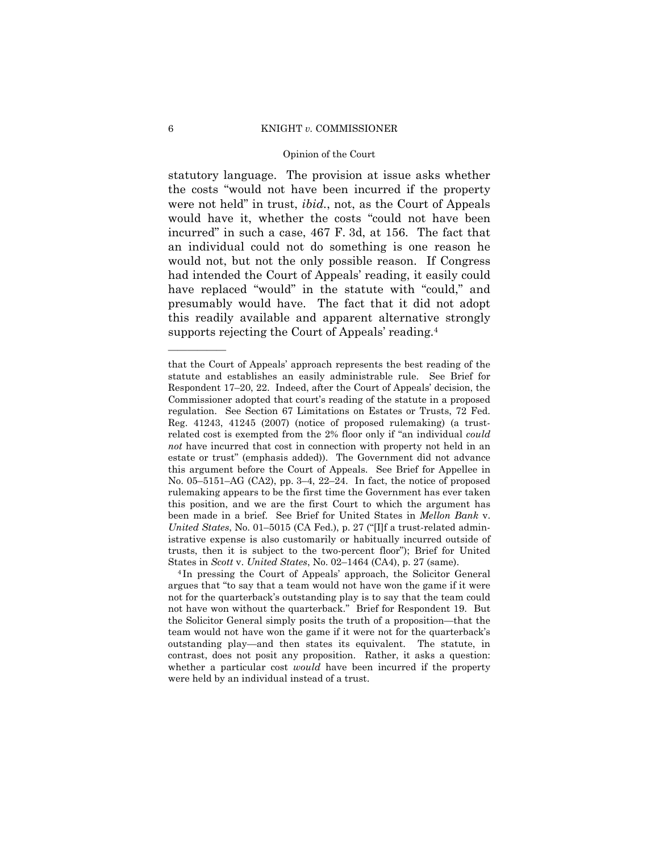# 6 KNIGHT *v.* COMMISSIONER

# Opinion of the Court

statutory language. The provision at issue asks whether the costs "would not have been incurred if the property were not held" in trust, *ibid.*, not, as the Court of Appeals would have it, whether the costs "could not have been incurred" in such a case, 467 F. 3d, at 156. The fact that an individual could not do something is one reason he would not, but not the only possible reason. If Congress had intended the Court of Appeals' reading, it easily could have replaced "would" in the statute with "could," and presumably would have. The fact that it did not adopt this readily available and apparent alternative strongly supports rejecting the Court of Appeals' reading.4

that the Court of Appeals' approach represents the best reading of the statute and establishes an easily administrable rule. See Brief for Respondent 17–20, 22. Indeed, after the Court of Appeals' decision, the Commissioner adopted that court's reading of the statute in a proposed regulation. See Section 67 Limitations on Estates or Trusts, 72 Fed. Reg. 41243, 41245 (2007) (notice of proposed rulemaking) (a trustrelated cost is exempted from the 2% floor only if "an individual *could not* have incurred that cost in connection with property not held in an estate or trust" (emphasis added)). The Government did not advance this argument before the Court of Appeals. See Brief for Appellee in No. 05–5151–AG (CA2), pp. 3–4, 22–24. In fact, the notice of proposed rulemaking appears to be the first time the Government has ever taken this position, and we are the first Court to which the argument has been made in a brief. See Brief for United States in *Mellon Bank* v. *United States*, No. 01–5015 (CA Fed.), p. 27 ("[I]f a trust-related administrative expense is also customarily or habitually incurred outside of trusts, then it is subject to the two-percent floor"); Brief for United States in *Scott* v. *United States*, No. 02–1464 (CA4), p. 27 (same). 4 In pressing the Court of Appeals' approach, the Solicitor General

argues that "to say that a team would not have won the game if it were not for the quarterback's outstanding play is to say that the team could not have won without the quarterback." Brief for Respondent 19. But the Solicitor General simply posits the truth of a proposition—that the team would not have won the game if it were not for the quarterback's outstanding play—and then states its equivalent. The statute, in contrast, does not posit any proposition. Rather, it asks a question: whether a particular cost *would* have been incurred if the property were held by an individual instead of a trust.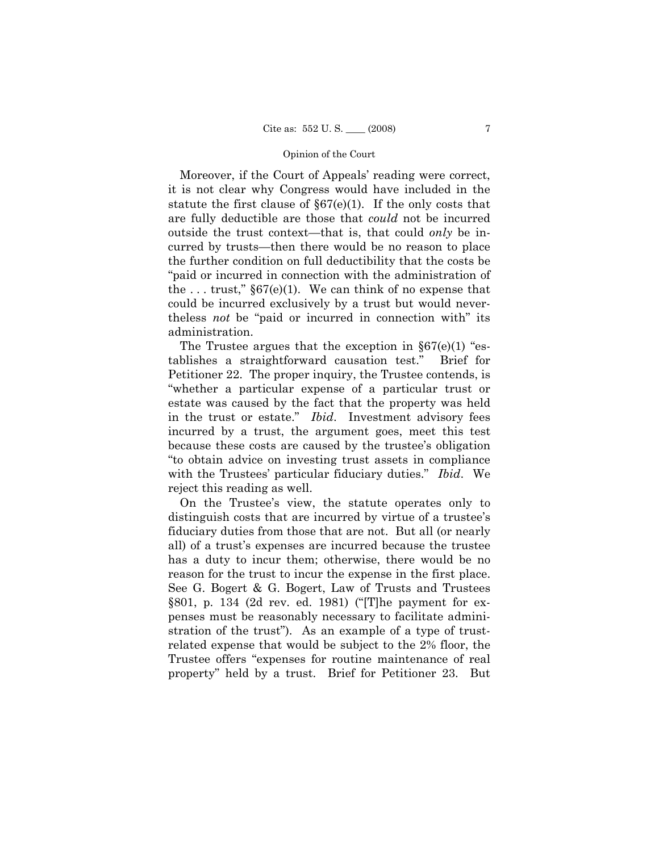Moreover, if the Court of Appeals' reading were correct, it is not clear why Congress would have included in the statute the first clause of  $\S67(e)(1)$ . If the only costs that are fully deductible are those that *could* not be incurred outside the trust context—that is, that could *only* be incurred by trusts—then there would be no reason to place the further condition on full deductibility that the costs be "paid or incurred in connection with the administration of the ... trust,"  $\S67(e)(1)$ . We can think of no expense that could be incurred exclusively by a trust but would nevertheless *not* be "paid or incurred in connection with" its administration.

The Trustee argues that the exception in  $\S67(e)(1)$  "establishes a straightforward causation test." Brief for Petitioner 22. The proper inquiry, the Trustee contends, is "whether a particular expense of a particular trust or estate was caused by the fact that the property was held in the trust or estate." *Ibid*. Investment advisory fees incurred by a trust, the argument goes, meet this test because these costs are caused by the trustee's obligation "to obtain advice on investing trust assets in compliance with the Trustees' particular fiduciary duties." *Ibid*. We reject this reading as well.

On the Trustee's view, the statute operates only to distinguish costs that are incurred by virtue of a trustee's fiduciary duties from those that are not. But all (or nearly all) of a trust's expenses are incurred because the trustee has a duty to incur them; otherwise, there would be no reason for the trust to incur the expense in the first place. See G. Bogert & G. Bogert, Law of Trusts and Trustees §801, p. 134 (2d rev. ed. 1981) ("[T]he payment for expenses must be reasonably necessary to facilitate administration of the trust"). As an example of a type of trustrelated expense that would be subject to the 2% floor, the Trustee offers "expenses for routine maintenance of real property" held by a trust. Brief for Petitioner 23. But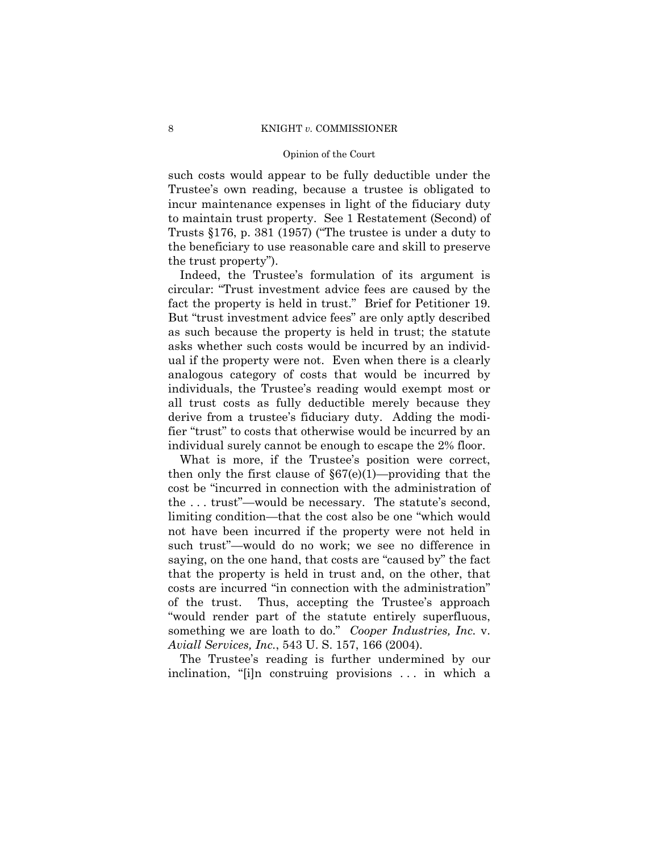such costs would appear to be fully deductible under the Trustee's own reading, because a trustee is obligated to incur maintenance expenses in light of the fiduciary duty to maintain trust property. See 1 Restatement (Second) of Trusts §176, p. 381 (1957) ("The trustee is under a duty to the beneficiary to use reasonable care and skill to preserve the trust property").

Indeed, the Trustee's formulation of its argument is circular: "Trust investment advice fees are caused by the fact the property is held in trust." Brief for Petitioner 19. But "trust investment advice fees" are only aptly described as such because the property is held in trust; the statute asks whether such costs would be incurred by an individual if the property were not. Even when there is a clearly analogous category of costs that would be incurred by individuals, the Trustee's reading would exempt most or all trust costs as fully deductible merely because they derive from a trustee's fiduciary duty. Adding the modifier "trust" to costs that otherwise would be incurred by an individual surely cannot be enough to escape the 2% floor.

What is more, if the Trustee's position were correct, then only the first clause of  $\S67(e)(1)$ —providing that the cost be "incurred in connection with the administration of the . . . trust"—would be necessary. The statute's second, limiting condition—that the cost also be one "which would not have been incurred if the property were not held in such trust"—would do no work; we see no difference in saying, on the one hand, that costs are "caused by" the fact that the property is held in trust and, on the other, that costs are incurred "in connection with the administration" of the trust. Thus, accepting the Trustee's approach "would render part of the statute entirely superfluous, something we are loath to do." *Cooper Industries, Inc.* v. *Aviall Services, Inc.*, 543 U. S. 157, 166 (2004).

The Trustee's reading is further undermined by our inclination, "[i]n construing provisions . . . in which a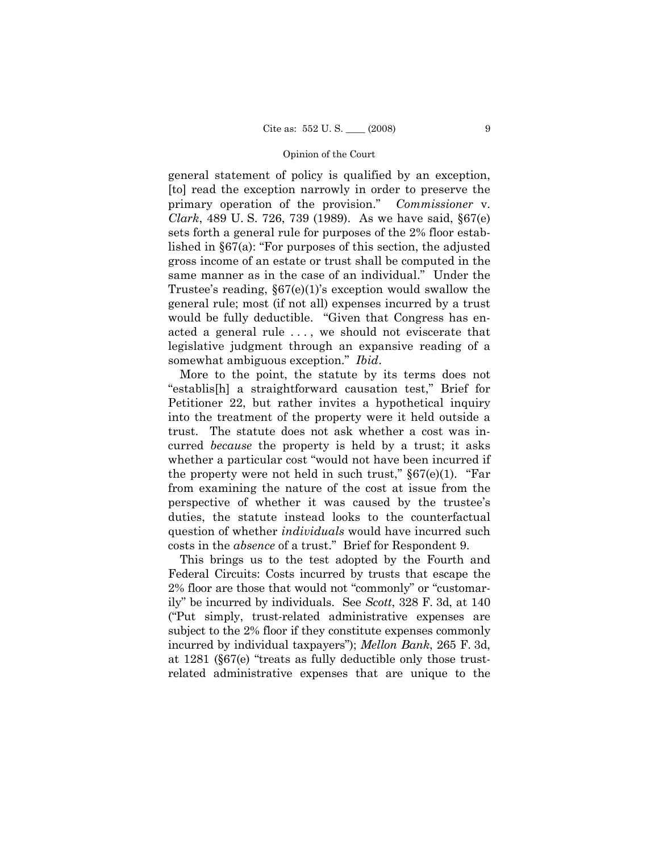general statement of policy is qualified by an exception, [to] read the exception narrowly in order to preserve the primary operation of the provision." *Commissioner* v. *Clark*, 489 U. S. 726, 739 (1989). As we have said, §67(e) sets forth a general rule for purposes of the 2% floor established in §67(a): "For purposes of this section, the adjusted gross income of an estate or trust shall be computed in the same manner as in the case of an individual." Under the Trustee's reading, §67(e)(1)'s exception would swallow the general rule; most (if not all) expenses incurred by a trust would be fully deductible. "Given that Congress has enacted a general rule . . . , we should not eviscerate that legislative judgment through an expansive reading of a somewhat ambiguous exception." *Ibid*.

More to the point, the statute by its terms does not "establis[h] a straightforward causation test," Brief for Petitioner 22, but rather invites a hypothetical inquiry into the treatment of the property were it held outside a trust. The statute does not ask whether a cost was incurred *because* the property is held by a trust; it asks whether a particular cost "would not have been incurred if the property were not held in such trust,"  $\S67(e)(1)$ . "Far from examining the nature of the cost at issue from the perspective of whether it was caused by the trustee's duties, the statute instead looks to the counterfactual question of whether *individuals* would have incurred such costs in the *absence* of a trust." Brief for Respondent 9.

This brings us to the test adopted by the Fourth and Federal Circuits: Costs incurred by trusts that escape the 2% floor are those that would not "commonly" or "customarily" be incurred by individuals. See *Scott*, 328 F. 3d, at 140 ("Put simply, trust-related administrative expenses are subject to the 2% floor if they constitute expenses commonly incurred by individual taxpayers"); *Mellon Bank*, 265 F. 3d, at 1281 (§67(e) "treats as fully deductible only those trustrelated administrative expenses that are unique to the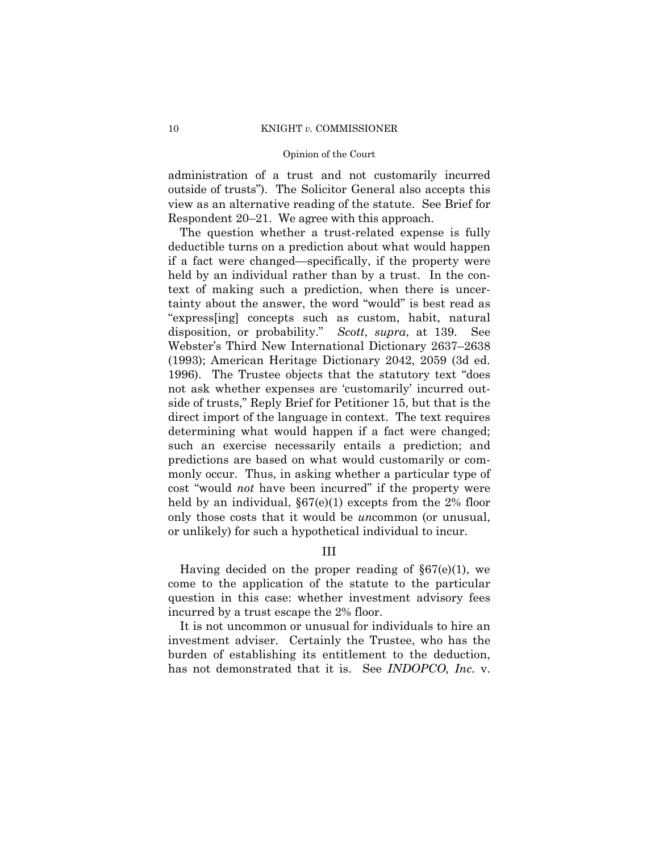administration of a trust and not customarily incurred outside of trusts"). The Solicitor General also accepts this view as an alternative reading of the statute. See Brief for Respondent 20–21. We agree with this approach.

The question whether a trust-related expense is fully deductible turns on a prediction about what would happen if a fact were changed—specifically, if the property were held by an individual rather than by a trust. In the context of making such a prediction, when there is uncertainty about the answer, the word "would" is best read as "express[ing] concepts such as custom, habit, natural disposition, or probability." *Scott*, *supra*, at 139. See Webster's Third New International Dictionary 2637–2638 (1993); American Heritage Dictionary 2042, 2059 (3d ed. 1996). The Trustee objects that the statutory text "does not ask whether expenses are 'customarily' incurred outside of trusts," Reply Brief for Petitioner 15, but that is the direct import of the language in context. The text requires determining what would happen if a fact were changed; such an exercise necessarily entails a prediction; and predictions are based on what would customarily or commonly occur. Thus, in asking whether a particular type of cost "would *not* have been incurred" if the property were held by an individual,  $\S67(e)(1)$  excepts from the 2% floor only those costs that it would be *un*common (or unusual, or unlikely) for such a hypothetical individual to incur.

III

Having decided on the proper reading of  $\S67(e)(1)$ , we come to the application of the statute to the particular question in this case: whether investment advisory fees incurred by a trust escape the 2% floor.

It is not uncommon or unusual for individuals to hire an investment adviser. Certainly the Trustee, who has the burden of establishing its entitlement to the deduction, has not demonstrated that it is. See *INDOPCO, Inc.* v.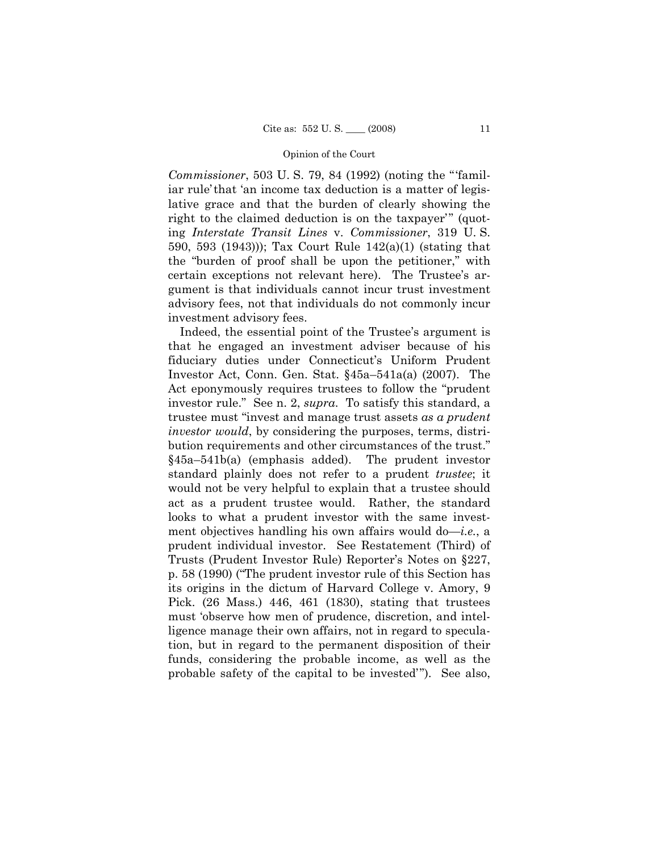*Commissioner*, 503 U. S. 79, 84 (1992) (noting the "'familiar rule'that 'an income tax deduction is a matter of legislative grace and that the burden of clearly showing the right to the claimed deduction is on the taxpayer'" (quoting *Interstate Transit Lines* v. *Commissioner*, 319 U. S. 590, 593 (1943))); Tax Court Rule 142(a)(1) (stating that the "burden of proof shall be upon the petitioner," with certain exceptions not relevant here). The Trustee's argument is that individuals cannot incur trust investment advisory fees, not that individuals do not commonly incur investment advisory fees.

Indeed, the essential point of the Trustee's argument is that he engaged an investment adviser because of his fiduciary duties under Connecticut's Uniform Prudent Investor Act, Conn. Gen. Stat. §45a–541a(a) (2007). The Act eponymously requires trustees to follow the "prudent investor rule." See n. 2, *supra*. To satisfy this standard, a trustee must "invest and manage trust assets *as a prudent investor would*, by considering the purposes, terms, distribution requirements and other circumstances of the trust." §45a–541b(a) (emphasis added). The prudent investor standard plainly does not refer to a prudent *trustee*; it would not be very helpful to explain that a trustee should act as a prudent trustee would. Rather, the standard looks to what a prudent investor with the same investment objectives handling his own affairs would do—*i.e.*, a prudent individual investor. See Restatement (Third) of Trusts (Prudent Investor Rule) Reporter's Notes on §227, p. 58 (1990) ("The prudent investor rule of this Section has its origins in the dictum of Harvard College v. Amory, 9 Pick. (26 Mass.) 446, 461 (1830), stating that trustees must 'observe how men of prudence, discretion, and intelligence manage their own affairs, not in regard to speculation, but in regard to the permanent disposition of their funds, considering the probable income, as well as the probable safety of the capital to be invested'"). See also,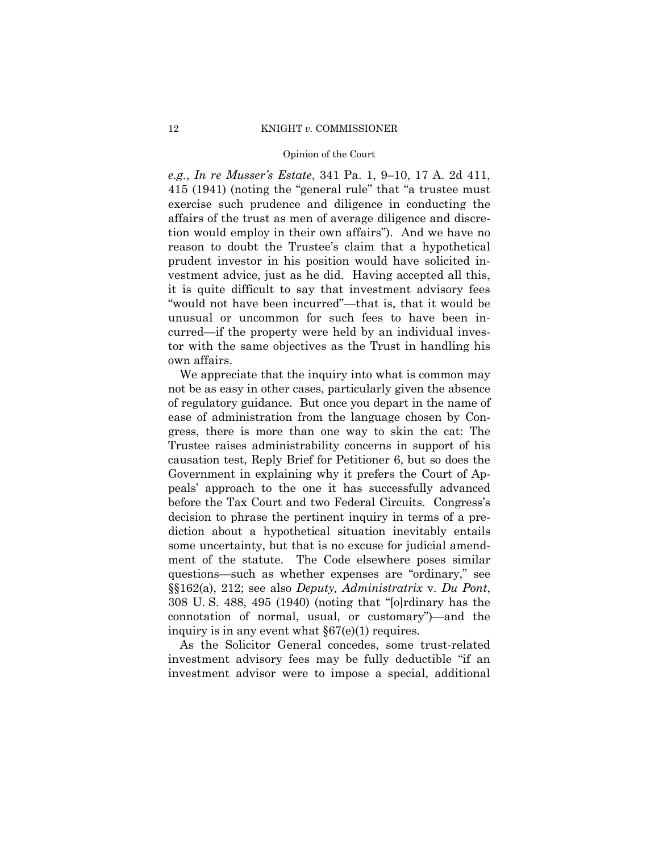*e.g.*, *In re Musser's Estate*, 341 Pa. 1, 9–10, 17 A. 2d 411, 415 (1941) (noting the "general rule" that "a trustee must exercise such prudence and diligence in conducting the affairs of the trust as men of average diligence and discretion would employ in their own affairs"). And we have no reason to doubt the Trustee's claim that a hypothetical prudent investor in his position would have solicited investment advice, just as he did. Having accepted all this, it is quite difficult to say that investment advisory fees "would not have been incurred"—that is, that it would be unusual or uncommon for such fees to have been incurred—if the property were held by an individual investor with the same objectives as the Trust in handling his own affairs.

We appreciate that the inquiry into what is common may not be as easy in other cases, particularly given the absence of regulatory guidance. But once you depart in the name of ease of administration from the language chosen by Congress, there is more than one way to skin the cat: The Trustee raises administrability concerns in support of his causation test, Reply Brief for Petitioner 6, but so does the Government in explaining why it prefers the Court of Appeals' approach to the one it has successfully advanced before the Tax Court and two Federal Circuits. Congress's decision to phrase the pertinent inquiry in terms of a prediction about a hypothetical situation inevitably entails some uncertainty, but that is no excuse for judicial amendment of the statute. The Code elsewhere poses similar questions—such as whether expenses are "ordinary," see §§162(a), 212; see also *Deputy, Administratrix* v. *Du Pont*, 308 U. S. 488, 495 (1940) (noting that "[o]rdinary has the connotation of normal, usual, or customary")—and the inquiry is in any event what §67(e)(1) requires.

As the Solicitor General concedes, some trust-related investment advisory fees may be fully deductible "if an investment advisor were to impose a special, additional